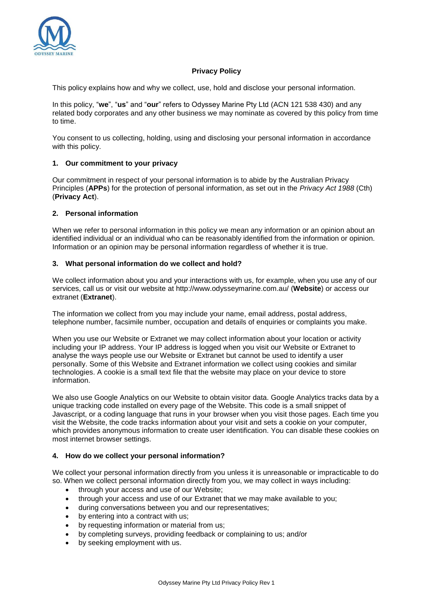

# **Privacy Policy**

This policy explains how and why we collect, use, hold and disclose your personal information.

In this policy, "**we**", "**us**" and "**our**" refers to Odyssey Marine Pty Ltd (ACN 121 538 430) and any related body corporates and any other business we may nominate as covered by this policy from time to time.

You consent to us collecting, holding, using and disclosing your personal information in accordance with this policy.

### **1. Our commitment to your privacy**

Our commitment in respect of your personal information is to abide by the Australian Privacy Principles (**APPs**) for the protection of personal information, as set out in the *Privacy Act 1988* (Cth) (**Privacy Act**).

### **2. Personal information**

When we refer to personal information in this policy we mean any information or an opinion about an identified individual or an individual who can be reasonably identified from the information or opinion. Information or an opinion may be personal information regardless of whether it is true.

#### **3. What personal information do we collect and hold?**

We collect information about you and your interactions with us, for example, when you use any of our services, call us or visit our website at http://www.odysseymarine.com.au/ (**Website**) or access our extranet (**Extranet**).

The information we collect from you may include your name, email address, postal address, telephone number, facsimile number, occupation and details of enquiries or complaints you make.

When you use our Website or Extranet we may collect information about your location or activity including your IP address. Your IP address is logged when you visit our Website or Extranet to analyse the ways people use our Website or Extranet but cannot be used to identify a user personally. Some of this Website and Extranet information we collect using cookies and similar technologies. A cookie is a small text file that the website may place on your device to store information.

We also use Google Analytics on our Website to obtain visitor data. Google Analytics tracks data by a unique tracking code installed on every page of the Website. This code is a small snippet of Javascript, or a coding language that runs in your browser when you visit those pages. Each time you visit the Website, the code tracks information about your visit and sets a cookie on your computer, which provides anonymous information to create user identification. You can disable these cookies on most internet browser settings.

#### **4. How do we collect your personal information?**

We collect your personal information directly from you unless it is unreasonable or impracticable to do so. When we collect personal information directly from you, we may collect in ways including:

- through your access and use of our Website:
- through your access and use of our Extranet that we may make available to you;
- during conversations between you and our representatives;
- by entering into a contract with us;
- by requesting information or material from us;
- by completing surveys, providing feedback or complaining to us; and/or
- by seeking employment with us.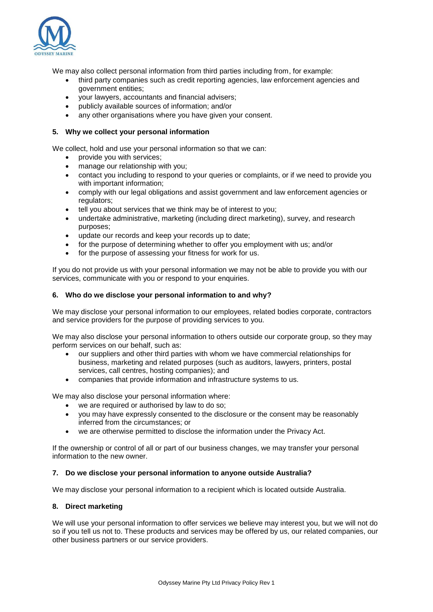

We may also collect personal information from third parties including from, for example:

- third party companies such as credit reporting agencies, law enforcement agencies and government entities;
- your lawyers, accountants and financial advisers;
- publicly available sources of information; and/or
- any other organisations where you have given your consent.

### **5. Why we collect your personal information**

We collect, hold and use your personal information so that we can:

- provide you with services;
- manage our relationship with you;
- contact you including to respond to your queries or complaints, or if we need to provide you with important information;
- comply with our legal obligations and assist government and law enforcement agencies or regulators;
- tell you about services that we think may be of interest to you;
- undertake administrative, marketing (including direct marketing), survey, and research purposes;
- update our records and keep your records up to date;
- for the purpose of determining whether to offer you employment with us; and/or
- for the purpose of assessing your fitness for work for us.

If you do not provide us with your personal information we may not be able to provide you with our services, communicate with you or respond to your enquiries.

### **6. Who do we disclose your personal information to and why?**

We may disclose your personal information to our employees, related bodies corporate, contractors and service providers for the purpose of providing services to you.

We may also disclose your personal information to others outside our corporate group, so they may perform services on our behalf, such as:

- our suppliers and other third parties with whom we have commercial relationships for business, marketing and related purposes (such as auditors, lawyers, printers, postal services, call centres, hosting companies); and
- companies that provide information and infrastructure systems to us.

We may also disclose your personal information where:

- we are required or authorised by law to do so;
- you may have expressly consented to the disclosure or the consent may be reasonably inferred from the circumstances; or
- we are otherwise permitted to disclose the information under the Privacy Act.

If the ownership or control of all or part of our business changes, we may transfer your personal information to the new owner.

#### **7. Do we disclose your personal information to anyone outside Australia?**

We may disclose your personal information to a recipient which is located outside Australia.

#### **8. Direct marketing**

We will use your personal information to offer services we believe may interest you, but we will not do so if you tell us not to. These products and services may be offered by us, our related companies, our other business partners or our service providers.